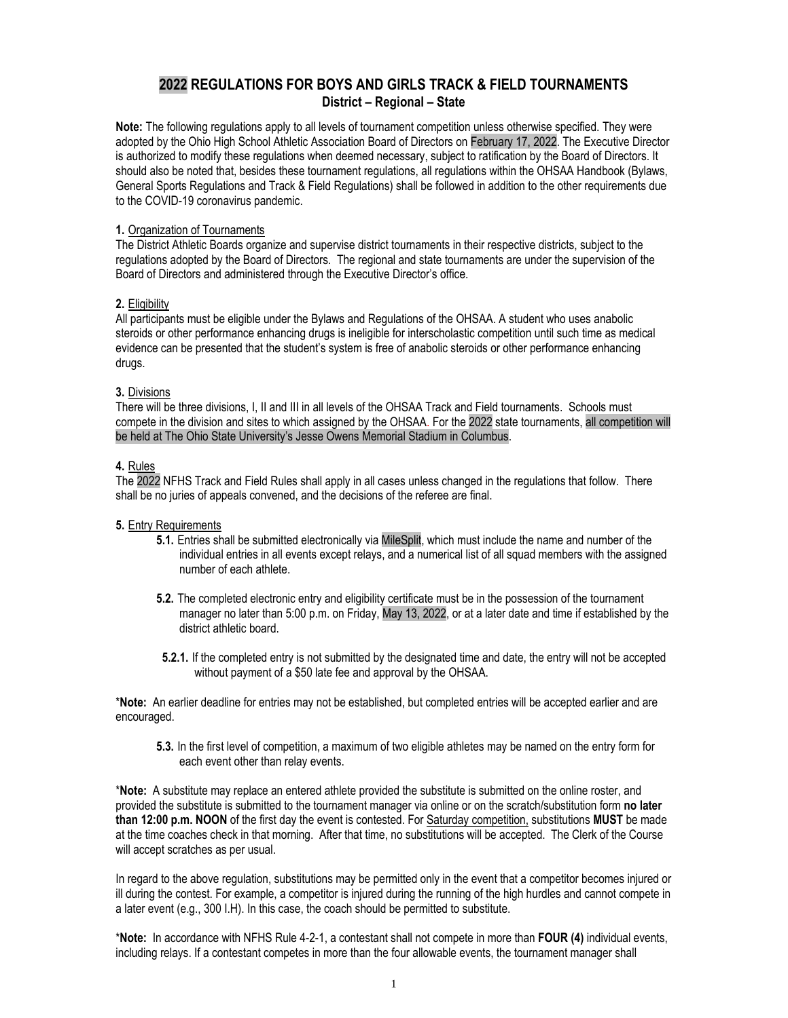# **2022 REGULATIONS FOR BOYS AND GIRLS TRACK & FIELD TOURNAMENTS District – Regional – State**

**Note:** The following regulations apply to all levels of tournament competition unless otherwise specified. They were adopted by the Ohio High School Athletic Association Board of Directors on February 17, 2022. The Executive Director is authorized to modify these regulations when deemed necessary, subject to ratification by the Board of Directors. It should also be noted that, besides these tournament regulations, all regulations within the OHSAA Handbook (Bylaws, General Sports Regulations and Track & Field Regulations) shall be followed in addition to the other requirements due to the COVID-19 coronavirus pandemic.

## **1.** Organization of Tournaments

The District Athletic Boards organize and supervise district tournaments in their respective districts, subject to the regulations adopted by the Board of Directors. The regional and state tournaments are under the supervision of the Board of Directors and administered through the Executive Director's office.

## **2.** Eligibility

All participants must be eligible under the Bylaws and Regulations of the OHSAA. A student who uses anabolic steroids or other performance enhancing drugs is ineligible for interscholastic competition until such time as medical evidence can be presented that the student's system is free of anabolic steroids or other performance enhancing drugs.

## **3.** Divisions

There will be three divisions, I, II and III in all levels of the OHSAA Track and Field tournaments. Schools must compete in the division and sites to which assigned by the OHSAA. For the 2022 state tournaments, all competition will be held at The Ohio State University's Jesse Owens Memorial Stadium in Columbus.

## **4.** Rules

The 2022 NFHS Track and Field Rules shall apply in all cases unless changed in the regulations that follow. There shall be no juries of appeals convened, and the decisions of the referee are final.

#### **5.** Entry Requirements

- **5.1.** Entries shall be submitted electronically via MileSplit, which must include the name and number of the individual entries in all events except relays, and a numerical list of all squad members with the assigned number of each athlete.
- **5.2.** The completed electronic entry and eligibility certificate must be in the possession of the tournament manager no later than 5:00 p.m. on Friday, May 13, 2022, or at a later date and time if established by the district athletic board.
- **5.2.1.** If the completed entry is not submitted by the designated time and date, the entry will not be accepted without payment of a \$50 late fee and approval by the OHSAA.

\***Note:** An earlier deadline for entries may not be established, but completed entries will be accepted earlier and are encouraged.

**5.3.** In the first level of competition, a maximum of two eligible athletes may be named on the entry form for each event other than relay events.

\***Note:** A substitute may replace an entered athlete provided the substitute is submitted on the online roster, and provided the substitute is submitted to the tournament manager via online or on the scratch/substitution form **no later than 12:00 p.m. NOON** of the first day the event is contested. For Saturday competition, substitutions **MUST** be made at the time coaches check in that morning. After that time, no substitutions will be accepted. The Clerk of the Course will accept scratches as per usual.

In regard to the above regulation, substitutions may be permitted only in the event that a competitor becomes injured or ill during the contest. For example, a competitor is injured during the running of the high hurdles and cannot compete in a later event (e.g., 300 I.H). In this case, the coach should be permitted to substitute.

\***Note:** In accordance with NFHS Rule 4-2-1, a contestant shall not compete in more than **FOUR (4)** individual events, including relays. If a contestant competes in more than the four allowable events, the tournament manager shall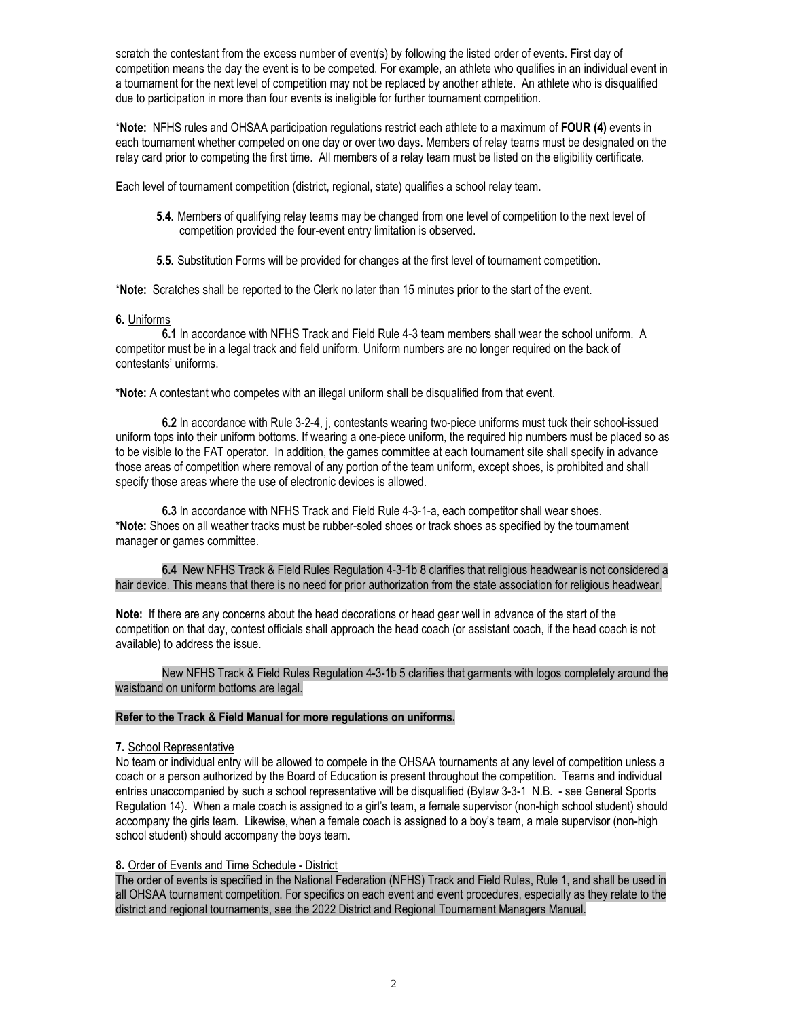scratch the contestant from the excess number of event(s) by following the listed order of events. First day of competition means the day the event is to be competed. For example, an athlete who qualifies in an individual event in a tournament for the next level of competition may not be replaced by another athlete. An athlete who is disqualified due to participation in more than four events is ineligible for further tournament competition.

\***Note:** NFHS rules and OHSAA participation regulations restrict each athlete to a maximum of **FOUR (4)** events in each tournament whether competed on one day or over two days. Members of relay teams must be designated on the relay card prior to competing the first time. All members of a relay team must be listed on the eligibility certificate.

Each level of tournament competition (district, regional, state) qualifies a school relay team.

- **5.4.** Members of qualifying relay teams may be changed from one level of competition to the next level of competition provided the four-event entry limitation is observed.
- **5.5.** Substitution Forms will be provided for changes at the first level of tournament competition.

\***Note:** Scratches shall be reported to the Clerk no later than 15 minutes prior to the start of the event.

#### **6.** Uniforms

**6.1** In accordance with NFHS Track and Field Rule 4-3 team members shall wear the school uniform. A competitor must be in a legal track and field uniform. Uniform numbers are no longer required on the back of contestants' uniforms.

\***Note:** A contestant who competes with an illegal uniform shall be disqualified from that event.

**6.2** In accordance with Rule 3-2-4, j, contestants wearing two-piece uniforms must tuck their school-issued uniform tops into their uniform bottoms. If wearing a one-piece uniform, the required hip numbers must be placed so as to be visible to the FAT operator. In addition, the games committee at each tournament site shall specify in advance those areas of competition where removal of any portion of the team uniform, except shoes, is prohibited and shall specify those areas where the use of electronic devices is allowed.

**6.3** In accordance with NFHS Track and Field Rule 4-3-1-a, each competitor shall wear shoes. \***Note:** Shoes on all weather tracks must be rubber-soled shoes or track shoes as specified by the tournament manager or games committee.

**6.4** New NFHS Track & Field Rules Regulation 4-3-1b 8 clarifies that religious headwear is not considered a hair device. This means that there is no need for prior authorization from the state association for religious headwear.

**Note:** If there are any concerns about the head decorations or head gear well in advance of the start of the competition on that day, contest officials shall approach the head coach (or assistant coach, if the head coach is not available) to address the issue.

New NFHS Track & Field Rules Regulation 4-3-1b 5 clarifies that garments with logos completely around the waistband on uniform bottoms are legal.

## **Refer to the Track & Field Manual for more regulations on uniforms.**

#### **7.** School Representative

No team or individual entry will be allowed to compete in the OHSAA tournaments at any level of competition unless a coach or a person authorized by the Board of Education is present throughout the competition. Teams and individual entries unaccompanied by such a school representative will be disqualified (Bylaw 3-3-1 N.B. - see General Sports Regulation 14). When a male coach is assigned to a girl's team, a female supervisor (non-high school student) should accompany the girls team. Likewise, when a female coach is assigned to a boy's team, a male supervisor (non-high school student) should accompany the boys team.

#### **8.** Order of Events and Time Schedule - District

The order of events is specified in the National Federation (NFHS) Track and Field Rules, Rule 1, and shall be used in all OHSAA tournament competition. For specifics on each event and event procedures, especially as they relate to the district and regional tournaments, see the 2022 District and Regional Tournament Managers Manual.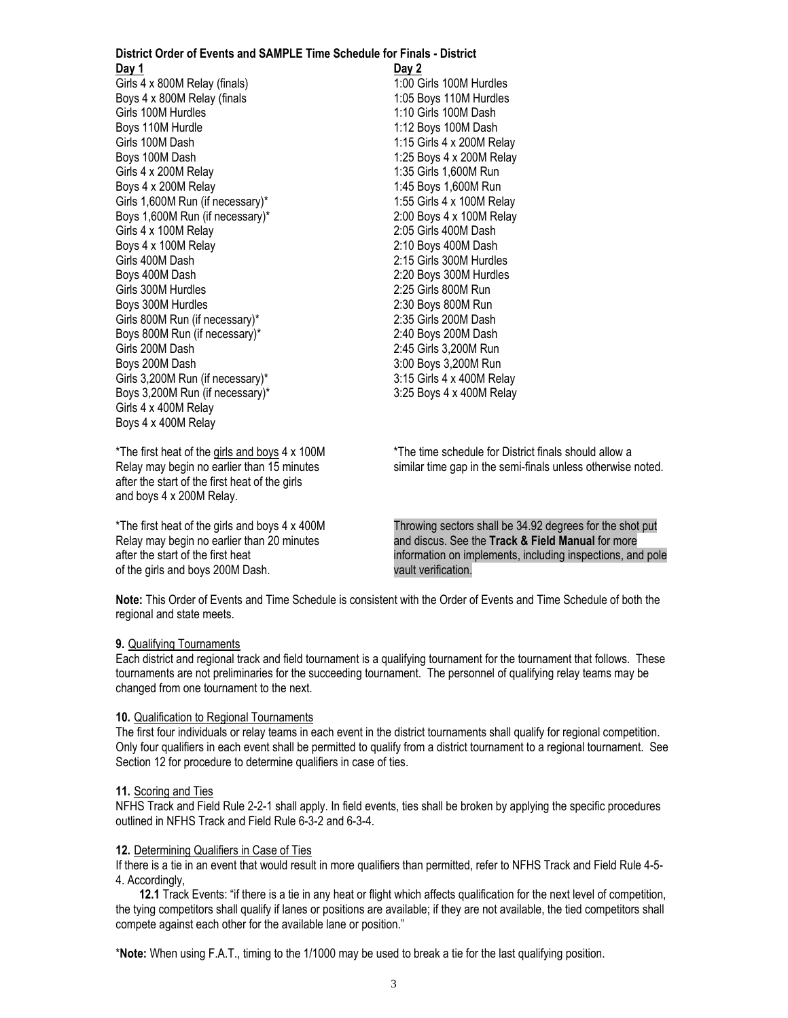#### **District Order of Events and SAMPLE Time Schedule for Finals - District Day 1 Day 2**

Girls 4 x 800M Relay (finals) 1:00 Girls 100M Hurdles Boys 4 x 800M Relay (finals 1:05 Boys 110M Hurdles Girls 100M Hurdles<br>
Boys 110M Hurdle 1:12 Boys 100M Dash Girls 100M Dash 1:15 Girls 4 x 200M Relay Boys 100M Dash 1:25 Boys 4 x 200M Relay Girls 4 x 200M Relay 1:35 Girls 1,600M Run Boys 4 x 200M Relay 1:45 Boys 1,600M Run<br>Girls 1,600M Run (if necessary)\* 1:55 Girls 4 x 100M Relav Girls 1,600M Run (if necessary)\* Boys 1,600M Run (if necessary)\* 2:00 Boys 4 x 100M Relay Girls 4 x 100M Relay 2:05 Girls 400M Dash Boys 4 x 100M Relay 2:10 Boys 400M Dash Girls 400M Dash 2:15 Girls 300M Hurdles Boys 400M Dash 2:20 Boys 300M Hurdles Girls 300M Hurdles 2:25 Girls 800M Run Boys 300M Hurdles 2:30 Boys 800M Run Girls 800M Run (if necessary)\* 2:35 Girls 200M Dash Boys 800M Run (if necessary)\* 2:40 Boys 200M Dash Girls 200M Dash 2:45 Girls 3,200M Run Boys 200M Dash 3:00 Boys 3.200M Run Girls 3,200M Run (if necessary)\* 3:15 Girls 4 x 400M Relay Boys 3,200M Run (if necessary)\* 3:25 Boys 4 x 400M Relay Girls 4 x 400M Relay Boys 4 x 400M Relay

1:12 Boys 100M Dash

after the start of the first heat of the girls and boys 4 x 200M Relay.

of the girls and boys 200M Dash. vault verification.

\*The first heat of the girls and boys 4 x 100M \*The time schedule for District finals should allow a Relay may begin no earlier than 15 minutes states in the semi-finals unless otherwise noted.

\*The first heat of the girls and boys 4 x 400M Throwing sectors shall be 34.92 degrees for the shot put Relay may begin no earlier than 20 minutes and discus. See the **Track & Field Manual** for more after the start of the first heat information on implements, including inspections, and pole

**Note:** This Order of Events and Time Schedule is consistent with the Order of Events and Time Schedule of both the regional and state meets.

#### **9.** Qualifying Tournaments

Each district and regional track and field tournament is a qualifying tournament for the tournament that follows. These tournaments are not preliminaries for the succeeding tournament. The personnel of qualifying relay teams may be changed from one tournament to the next.

#### **10.** Qualification to Regional Tournaments

The first four individuals or relay teams in each event in the district tournaments shall qualify for regional competition. Only four qualifiers in each event shall be permitted to qualify from a district tournament to a regional tournament. See Section 12 for procedure to determine qualifiers in case of ties.

#### **11.** Scoring and Ties

NFHS Track and Field Rule 2-2-1 shall apply. In field events, ties shall be broken by applying the specific procedures outlined in NFHS Track and Field Rule 6-3-2 and 6-3-4.

#### **12.** Determining Qualifiers in Case of Ties

If there is a tie in an event that would result in more qualifiers than permitted, refer to NFHS Track and Field Rule 4-5- 4. Accordingly,

 **12.1** Track Events: "if there is a tie in any heat or flight which affects qualification for the next level of competition, the tying competitors shall qualify if lanes or positions are available; if they are not available, the tied competitors shall compete against each other for the available lane or position."

\***Note:** When using F.A.T., timing to the 1/1000 may be used to break a tie for the last qualifying position.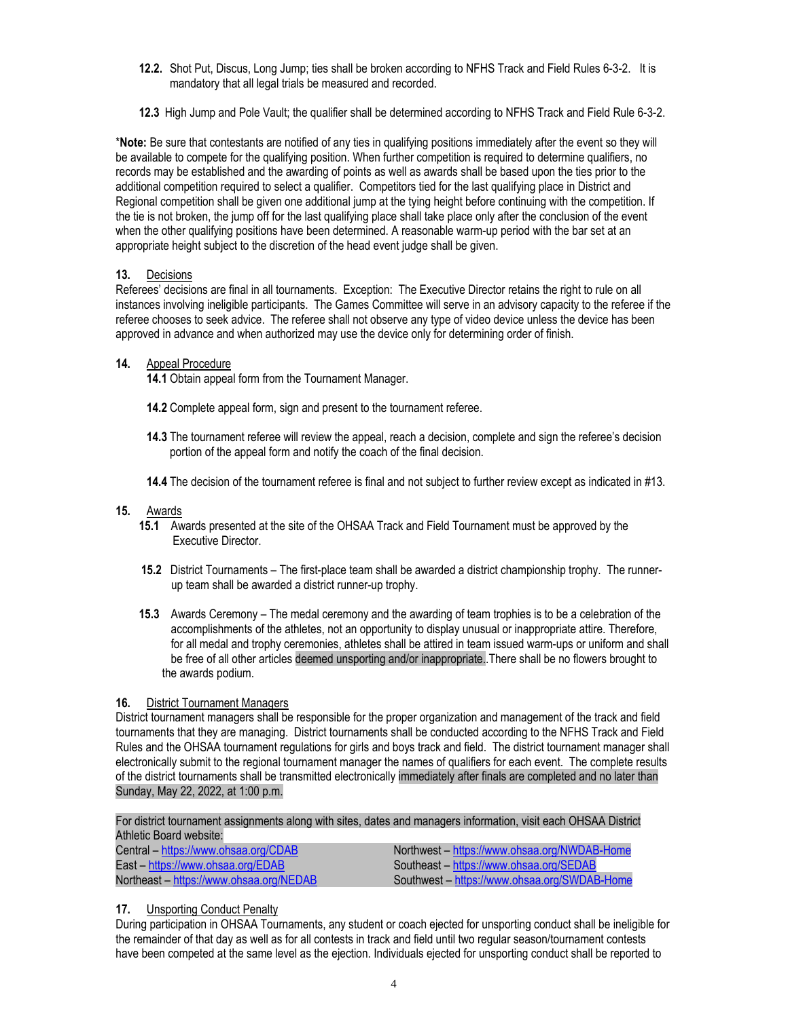- **12.2.** Shot Put, Discus, Long Jump; ties shall be broken according to NFHS Track and Field Rules 6-3-2. It is mandatory that all legal trials be measured and recorded.
- **12.3** High Jump and Pole Vault; the qualifier shall be determined according to NFHS Track and Field Rule 6-3-2.

\***Note:** Be sure that contestants are notified of any ties in qualifying positions immediately after the event so they will be available to compete for the qualifying position. When further competition is required to determine qualifiers, no records may be established and the awarding of points as well as awards shall be based upon the ties prior to the additional competition required to select a qualifier. Competitors tied for the last qualifying place in District and Regional competition shall be given one additional jump at the tying height before continuing with the competition. If the tie is not broken, the jump off for the last qualifying place shall take place only after the conclusion of the event when the other qualifying positions have been determined. A reasonable warm-up period with the bar set at an appropriate height subject to the discretion of the head event judge shall be given.

## **13.** Decisions

Referees' decisions are final in all tournaments. Exception: The Executive Director retains the right to rule on all instances involving ineligible participants. The Games Committee will serve in an advisory capacity to the referee if the referee chooses to seek advice. The referee shall not observe any type of video device unless the device has been approved in advance and when authorized may use the device only for determining order of finish.

## **14.** Appeal Procedure

**14.1** Obtain appeal form from the Tournament Manager.

- **14.2** Complete appeal form, sign and present to the tournament referee.
- **14.3** The tournament referee will review the appeal, reach a decision, complete and sign the referee's decision portion of the appeal form and notify the coach of the final decision.
- **14.4** The decision of the tournament referee is final and not subject to further review except as indicated in #13.

#### **15.** Awards

- **15.1** Awards presented at the site of the OHSAA Track and Field Tournament must be approved by the Executive Director.
- **15.2** District Tournaments The first-place team shall be awarded a district championship trophy. The runner up team shall be awarded a district runner-up trophy.
- **15.3** Awards Ceremony The medal ceremony and the awarding of team trophies is to be a celebration of the accomplishments of the athletes, not an opportunity to display unusual or inappropriate attire. Therefore, for all medal and trophy ceremonies, athletes shall be attired in team issued warm-ups or uniform and shall be free of all other articles deemed unsporting and/or inappropriate..There shall be no flowers brought to the awards podium.

## **16.** District Tournament Managers

District tournament managers shall be responsible for the proper organization and management of the track and field tournaments that they are managing. District tournaments shall be conducted according to the NFHS Track and Field Rules and the OHSAA tournament regulations for girls and boys track and field. The district tournament manager shall electronically submit to the regional tournament manager the names of qualifiers for each event. The complete results of the district tournaments shall be transmitted electronically immediately after finals are completed and no later than Sunday, May 22, 2022, at 1:00 p.m.

For district tournament assignments along with sites, dates and managers information, visit each OHSAA District Athletic Board website:

| Central – https://www.ohsaa.org/CDAB    | Northwest – https://www.ohsaa.org/NWDAB-Home |
|-----------------------------------------|----------------------------------------------|
| East – https://www.ohsaa.org/EDAB       | Southeast - https://www.ohsaa.org/SEDAB      |
| Northeast – https://www.ohsaa.org/NEDAB | Southwest – https://www.ohsaa.org/SWDAB-Home |

## **17.** Unsporting Conduct Penalty

During participation in OHSAA Tournaments, any student or coach ejected for unsporting conduct shall be ineligible for the remainder of that day as well as for all contests in track and field until two regular season/tournament contests have been competed at the same level as the ejection. Individuals ejected for unsporting conduct shall be reported to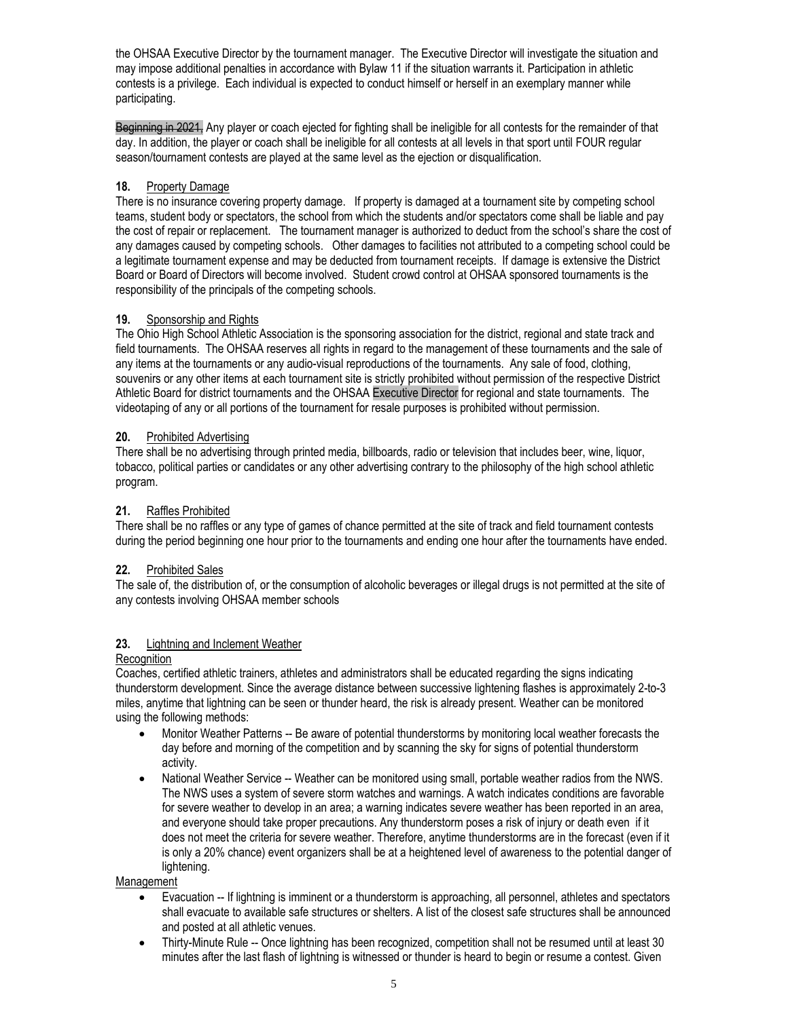the OHSAA Executive Director by the tournament manager. The Executive Director will investigate the situation and may impose additional penalties in accordance with Bylaw 11 if the situation warrants it. Participation in athletic contests is a privilege. Each individual is expected to conduct himself or herself in an exemplary manner while participating.

Beginning in 2021, Any player or coach ejected for fighting shall be ineligible for all contests for the remainder of that day. In addition, the player or coach shall be ineligible for all contests at all levels in that sport until FOUR regular season/tournament contests are played at the same level as the ejection or disqualification.

## **18.** Property Damage

There is no insurance covering property damage. If property is damaged at a tournament site by competing school teams, student body or spectators, the school from which the students and/or spectators come shall be liable and pay the cost of repair or replacement. The tournament manager is authorized to deduct from the school's share the cost of any damages caused by competing schools. Other damages to facilities not attributed to a competing school could be a legitimate tournament expense and may be deducted from tournament receipts. If damage is extensive the District Board or Board of Directors will become involved. Student crowd control at OHSAA sponsored tournaments is the responsibility of the principals of the competing schools.

## **19.** Sponsorship and Rights

The Ohio High School Athletic Association is the sponsoring association for the district, regional and state track and field tournaments. The OHSAA reserves all rights in regard to the management of these tournaments and the sale of any items at the tournaments or any audio-visual reproductions of the tournaments. Any sale of food, clothing, souvenirs or any other items at each tournament site is strictly prohibited without permission of the respective District Athletic Board for district tournaments and the OHSAA Executive Director for regional and state tournaments. The videotaping of any or all portions of the tournament for resale purposes is prohibited without permission.

## **20.** Prohibited Advertising

There shall be no advertising through printed media, billboards, radio or television that includes beer, wine, liquor, tobacco, political parties or candidates or any other advertising contrary to the philosophy of the high school athletic program.

## **21.** Raffles Prohibited

There shall be no raffles or any type of games of chance permitted at the site of track and field tournament contests during the period beginning one hour prior to the tournaments and ending one hour after the tournaments have ended.

#### **22.** Prohibited Sales

The sale of, the distribution of, or the consumption of alcoholic beverages or illegal drugs is not permitted at the site of any contests involving OHSAA member schools

#### **23.** Lightning and Inclement Weather

#### **Recognition**

Coaches, certified athletic trainers, athletes and administrators shall be educated regarding the signs indicating thunderstorm development. Since the average distance between successive lightening flashes is approximately 2-to-3 miles, anytime that lightning can be seen or thunder heard, the risk is already present. Weather can be monitored using the following methods:

- Monitor Weather Patterns -- Be aware of potential thunderstorms by monitoring local weather forecasts the day before and morning of the competition and by scanning the sky for signs of potential thunderstorm activity.
- National Weather Service -- Weather can be monitored using small, portable weather radios from the NWS. The NWS uses a system of severe storm watches and warnings. A watch indicates conditions are favorable for severe weather to develop in an area; a warning indicates severe weather has been reported in an area, and everyone should take proper precautions. Any thunderstorm poses a risk of injury or death even if it does not meet the criteria for severe weather. Therefore, anytime thunderstorms are in the forecast (even if it is only a 20% chance) event organizers shall be at a heightened level of awareness to the potential danger of lightening.

#### Management

- Evacuation -- If lightning is imminent or a thunderstorm is approaching, all personnel, athletes and spectators shall evacuate to available safe structures or shelters. A list of the closest safe structures shall be announced and posted at all athletic venues.
- Thirty-Minute Rule -- Once lightning has been recognized, competition shall not be resumed until at least 30 minutes after the last flash of lightning is witnessed or thunder is heard to begin or resume a contest. Given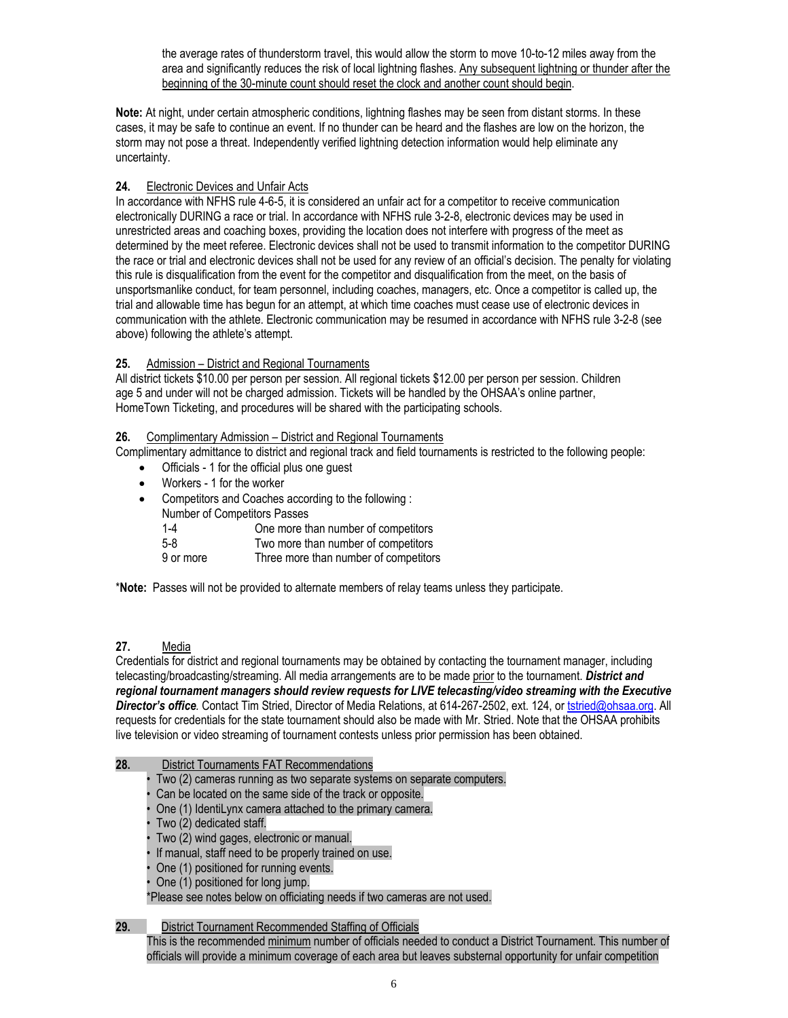the average rates of thunderstorm travel, this would allow the storm to move 10-to-12 miles away from the area and significantly reduces the risk of local lightning flashes. Any subsequent lightning or thunder after the beginning of the 30-minute count should reset the clock and another count should begin.

**Note:** At night, under certain atmospheric conditions, lightning flashes may be seen from distant storms. In these cases, it may be safe to continue an event. If no thunder can be heard and the flashes are low on the horizon, the storm may not pose a threat. Independently verified lightning detection information would help eliminate any uncertainty.

## **24.** Electronic Devices and Unfair Acts

In accordance with NFHS rule 4-6-5, it is considered an unfair act for a competitor to receive communication electronically DURING a race or trial. In accordance with NFHS rule 3-2-8, electronic devices may be used in unrestricted areas and coaching boxes, providing the location does not interfere with progress of the meet as determined by the meet referee. Electronic devices shall not be used to transmit information to the competitor DURING the race or trial and electronic devices shall not be used for any review of an official's decision. The penalty for violating this rule is disqualification from the event for the competitor and disqualification from the meet, on the basis of unsportsmanlike conduct, for team personnel, including coaches, managers, etc. Once a competitor is called up, the trial and allowable time has begun for an attempt, at which time coaches must cease use of electronic devices in communication with the athlete. Electronic communication may be resumed in accordance with NFHS rule 3-2-8 (see above) following the athlete's attempt.

## **25.** Admission – District and Regional Tournaments

All district tickets \$10.00 per person per session. All regional tickets \$12.00 per person per session. Children age 5 and under will not be charged admission. Tickets will be handled by the OHSAA's online partner, HomeTown Ticketing, and procedures will be shared with the participating schools.

## **26.** Complimentary Admission – District and Regional Tournaments

Complimentary admittance to district and regional track and field tournaments is restricted to the following people:

- Officials 1 for the official plus one guest
- Workers 1 for the worker
- Competitors and Coaches according to the following :
	- Number of Competitors Passes
		- 1-4 One more than number of competitors
		- 5-8 Two more than number of competitors
		- 9 or more Three more than number of competitors

\***Note:** Passes will not be provided to alternate members of relay teams unless they participate.

## **27.** Media

Credentials for district and regional tournaments may be obtained by contacting the tournament manager, including telecasting/broadcasting/streaming. All media arrangements are to be made prior to the tournament. *District and regional tournament managers should review requests for LIVE telecasting/video streaming with the Executive Director's office.* Contact Tim Stried, Director of Media Relations, at 614-267-2502, ext. 124, or [tstried@ohsaa.org.](mailto:tstried@ohsaa.org) All requests for credentials for the state tournament should also be made with Mr. Stried. Note that the OHSAA prohibits live television or video streaming of tournament contests unless prior permission has been obtained.

#### **28.** District Tournaments FAT Recommendations

- Two (2) cameras running as two separate systems on separate computers.
- Can be located on the same side of the track or opposite.
- One (1) IdentiLynx camera attached to the primary camera.
- Two (2) dedicated staff.
- Two (2) wind gages, electronic or manual.
- If manual, staff need to be properly trained on use.
- One (1) positioned for running events.
- One (1) positioned for long jump.

\*Please see notes below on officiating needs if two cameras are not used.

#### **29.** District Tournament Recommended Staffing of Officials

This is the recommended minimum number of officials needed to conduct a District Tournament. This number of officials will provide a minimum coverage of each area but leaves substernal opportunity for unfair competition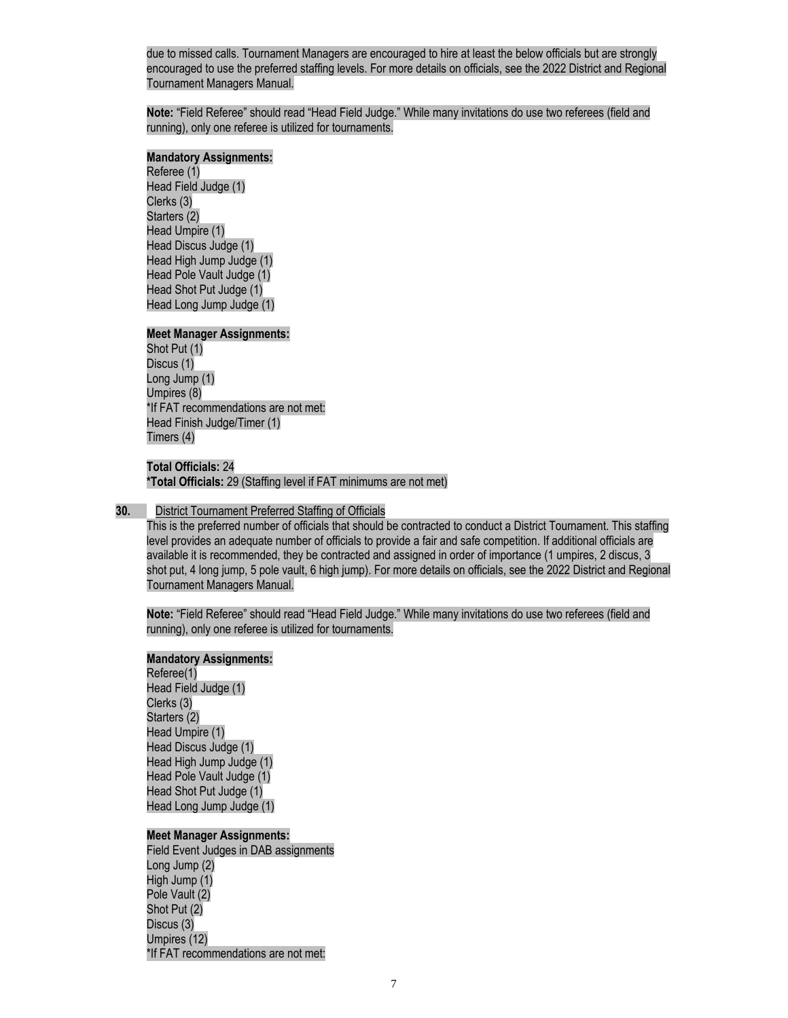due to missed calls. Tournament Managers are encouraged to hire at least the below officials but are strongly encouraged to use the preferred staffing levels. For more details on officials, see the 2022 District and Regional Tournament Managers Manual.

**Note:** "Field Referee" should read "Head Field Judge." While many invitations do use two referees (field and running), only one referee is utilized for tournaments.

#### **Mandatory Assignments:**

Referee (1) Head Field Judge (1) Clerks (3) Starters (2) Head Umpire (1) Head Discus Judge (1) Head High Jump Judge (1) Head Pole Vault Judge (1) Head Shot Put Judge (1) Head Long Jump Judge (1)

#### **Meet Manager Assignments:**

Shot Put (1) Discus (1) Long Jump (1) Umpires (8) \*If FAT recommendations are not met: Head Finish Judge/Timer (1) Timers (4)

#### **Total Officials:** 24

**\*Total Officials:** 29 (Staffing level if FAT minimums are not met)

#### **30.** District Tournament Preferred Staffing of Officials

This is the preferred number of officials that should be contracted to conduct a District Tournament. This staffing level provides an adequate number of officials to provide a fair and safe competition. If additional officials are available it is recommended, they be contracted and assigned in order of importance (1 umpires, 2 discus, 3 shot put, 4 long jump, 5 pole vault, 6 high jump). For more details on officials, see the 2022 District and Regional Tournament Managers Manual.

**Note:** "Field Referee" should read "Head Field Judge." While many invitations do use two referees (field and running), only one referee is utilized for tournaments.

#### **Mandatory Assignments:**

Referee(1) Head Field Judge (1) Clerks (3) Starters (2) Head Umpire (1) Head Discus Judge (1) Head High Jump Judge (1) Head Pole Vault Judge (1) Head Shot Put Judge (1) Head Long Jump Judge (1)

#### **Meet Manager Assignments:**

Field Event Judges in DAB assignments Long Jump (2) High Jump (1) Pole Vault (2) Shot Put (2) Discus (3) Umpires (12) \*If FAT recommendations are not met: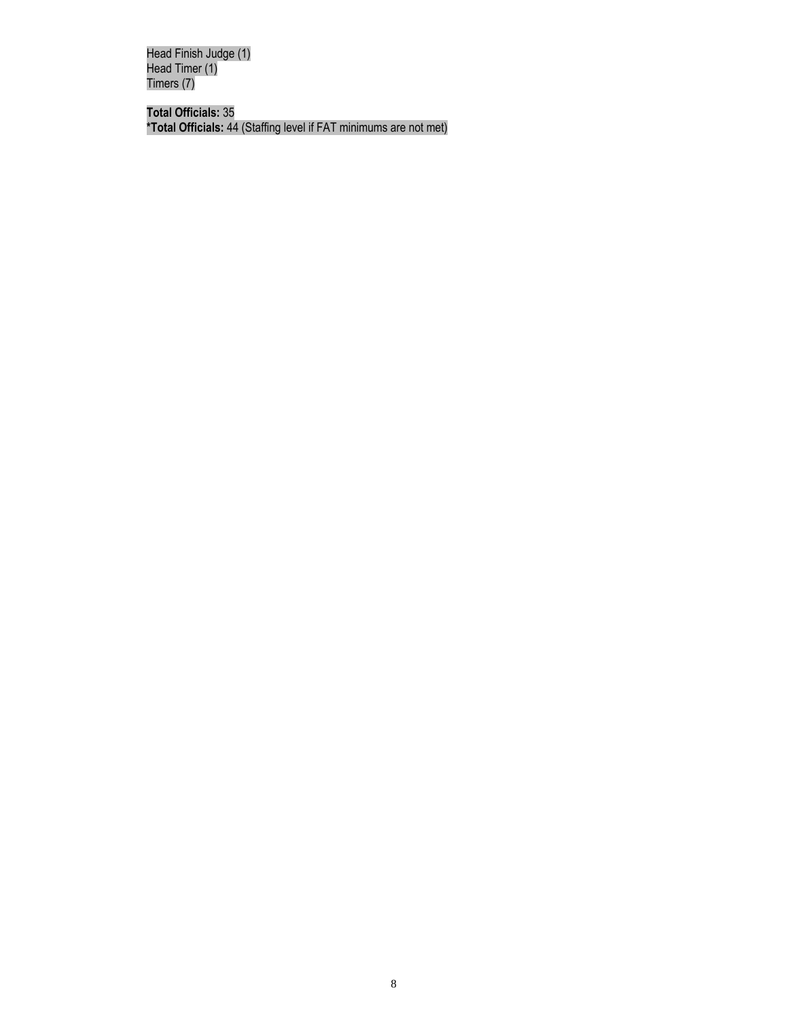Head Finish Judge (1) Head Timer (1) Timers (7)

**Total Officials:** 35 **\*Total Officials:** 44 (Staffing level if FAT minimums are not met)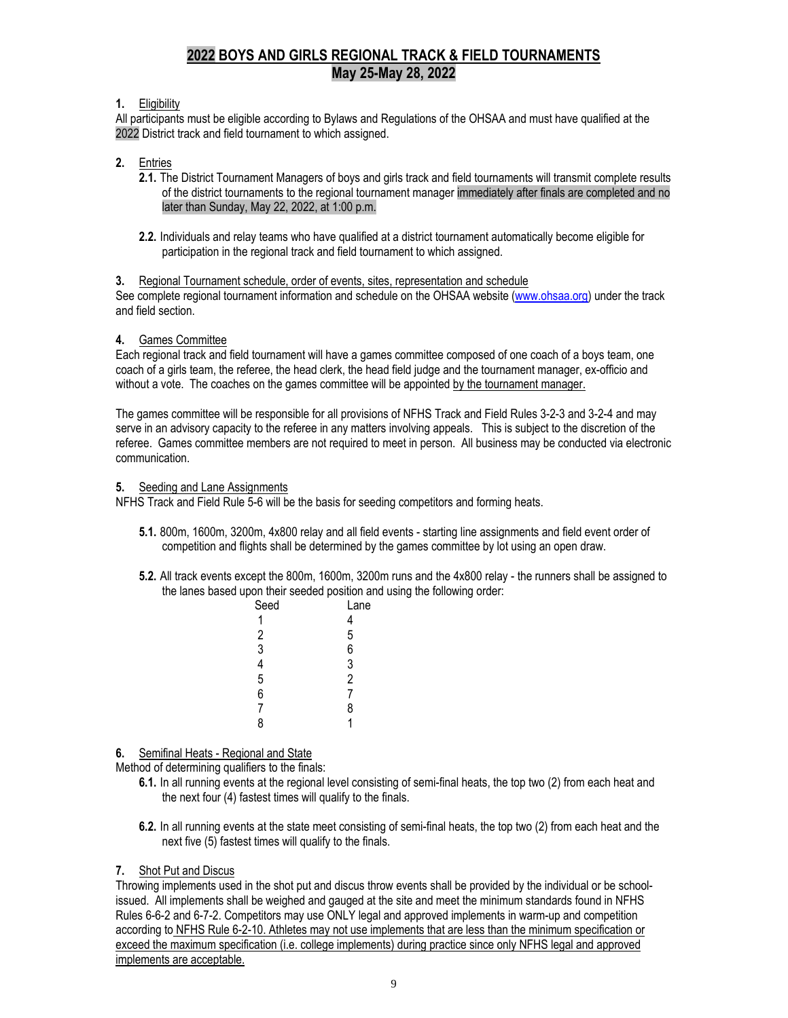# **2022 BOYS AND GIRLS REGIONAL TRACK & FIELD TOURNAMENTS May 25-May 28, 2022**

## **1.** Eligibility

All participants must be eligible according to Bylaws and Regulations of the OHSAA and must have qualified at the 2022 District track and field tournament to which assigned.

#### **2.** Entries

- **2.1.** The District Tournament Managers of boys and girls track and field tournaments will transmit complete results of the district tournaments to the regional tournament manager immediately after finals are completed and no later than Sunday, May 22, 2022, at 1:00 p.m.
- **2.2.** Individuals and relay teams who have qualified at a district tournament automatically become eligible for participation in the regional track and field tournament to which assigned.

#### **3.** Regional Tournament schedule, order of events, sites, representation and schedule

See complete regional tournament information and schedule on the OHSAA website [\(www.ohsaa.org\)](http://www.ohsaa.org/) under the track and field section.

#### **4.** Games Committee

Each regional track and field tournament will have a games committee composed of one coach of a boys team, one coach of a girls team, the referee, the head clerk, the head field judge and the tournament manager, ex-officio and without a vote. The coaches on the games committee will be appointed by the tournament manager.

The games committee will be responsible for all provisions of NFHS Track and Field Rules 3-2-3 and 3-2-4 and may serve in an advisory capacity to the referee in any matters involving appeals. This is subject to the discretion of the referee. Games committee members are not required to meet in person. All business may be conducted via electronic communication.

#### **5.** Seeding and Lane Assignments

NFHS Track and Field Rule 5-6 will be the basis for seeding competitors and forming heats.

- **5.1.** 800m, 1600m, 3200m, 4x800 relay and all field events starting line assignments and field event order of competition and flights shall be determined by the games committee by lot using an open draw.
- **5.2.** All track events except the 800m, 1600m, 3200m runs and the 4x800 relay the runners shall be assigned to the lanes based upon their seeded position and using the following order:

| Seed          | Lane           |
|---------------|----------------|
|               | 4              |
|               | 5              |
| $\frac{2}{3}$ | 6              |
| 4             | 3              |
| 5             | $\overline{c}$ |
| 6             | 7              |
| 7             | 8              |
| 8             |                |
|               |                |

#### **6.** Semifinal Heats - Regional and State

Method of determining qualifiers to the finals:

- **6.1.** In all running events at the regional level consisting of semi-final heats, the top two (2) from each heat and the next four (4) fastest times will qualify to the finals.
- **6.2.** In all running events at the state meet consisting of semi-final heats, the top two (2) from each heat and the next five (5) fastest times will qualify to the finals.

#### **7.** Shot Put and Discus

Throwing implements used in the shot put and discus throw events shall be provided by the individual or be schoolissued. All implements shall be weighed and gauged at the site and meet the minimum standards found in NFHS Rules 6-6-2 and 6-7-2. Competitors may use ONLY legal and approved implements in warm-up and competition according to NFHS Rule 6-2-10. Athletes may not use implements that are less than the minimum specification or exceed the maximum specification (i.e. college implements) during practice since only NFHS legal and approved implements are acceptable.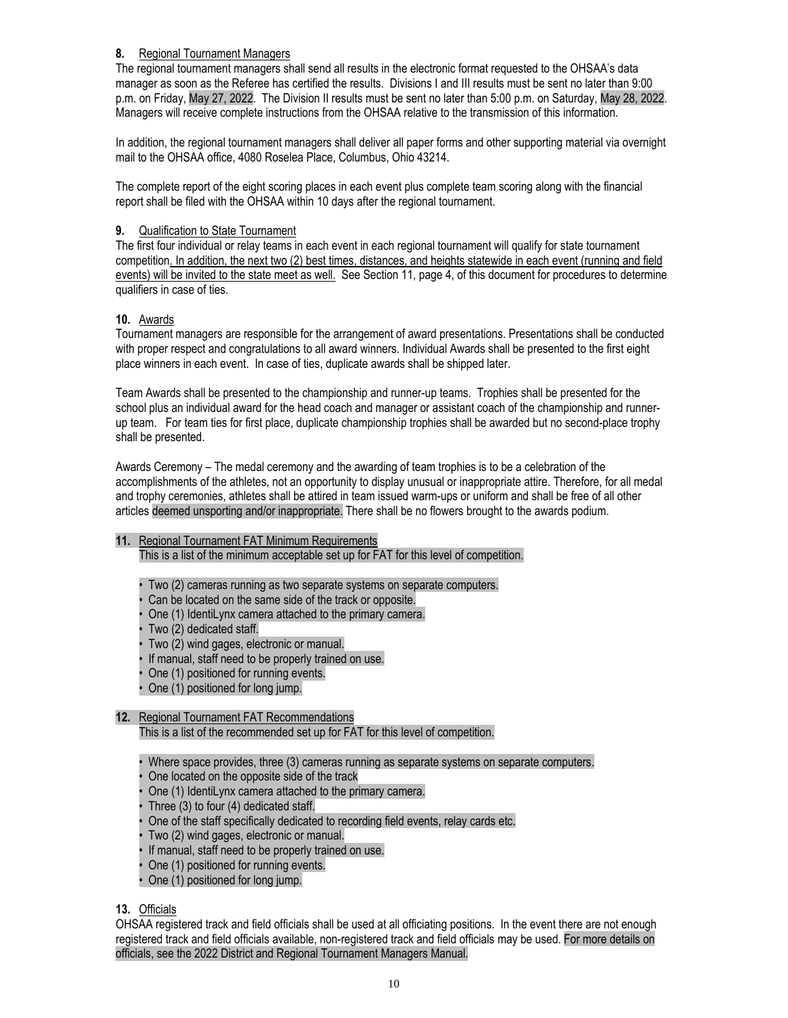## **8.** Regional Tournament Managers

The regional tournament managers shall send all results in the electronic format requested to the OHSAA's data manager as soon as the Referee has certified the results. Divisions I and III results must be sent no later than 9:00 p.m. on Friday, May 27, 2022. The Division II results must be sent no later than 5:00 p.m. on Saturday, May 28, 2022. Managers will receive complete instructions from the OHSAA relative to the transmission of this information.

In addition, the regional tournament managers shall deliver all paper forms and other supporting material via overnight mail to the OHSAA office, 4080 Roselea Place, Columbus, Ohio 43214.

The complete report of the eight scoring places in each event plus complete team scoring along with the financial report shall be filed with the OHSAA within 10 days after the regional tournament.

## **9.** Qualification to State Tournament

The first four individual or relay teams in each event in each regional tournament will qualify for state tournament competition. In addition, the next two (2) best times, distances, and heights statewide in each event (running and field events) will be invited to the state meet as well. See Section 11, page 4, of this document for procedures to determine qualifiers in case of ties.

## **10.** Awards

Tournament managers are responsible for the arrangement of award presentations. Presentations shall be conducted with proper respect and congratulations to all award winners. Individual Awards shall be presented to the first eight place winners in each event. In case of ties, duplicate awards shall be shipped later.

Team Awards shall be presented to the championship and runner-up teams. Trophies shall be presented for the school plus an individual award for the head coach and manager or assistant coach of the championship and runnerup team. For team ties for first place, duplicate championship trophies shall be awarded but no second-place trophy shall be presented.

Awards Ceremony – The medal ceremony and the awarding of team trophies is to be a celebration of the accomplishments of the athletes, not an opportunity to display unusual or inappropriate attire. Therefore, for all medal and trophy ceremonies, athletes shall be attired in team issued warm-ups or uniform and shall be free of all other articles deemed unsporting and/or inappropriate. There shall be no flowers brought to the awards podium.

#### **11.** Regional Tournament FAT Minimum Requirements

This is a list of the minimum acceptable set up for FAT for this level of competition.

- Two (2) cameras running as two separate systems on separate computers.
- Can be located on the same side of the track or opposite.
- One (1) IdentiLynx camera attached to the primary camera.
- Two (2) dedicated staff.
- Two (2) wind gages, electronic or manual.
- If manual, staff need to be properly trained on use.
- One (1) positioned for running events.
- One (1) positioned for long jump.
- **12.** Regional Tournament FAT Recommendations This is a list of the recommended set up for FAT for this level of competition.
	- Where space provides, three (3) cameras running as separate systems on separate computers.
	- One located on the opposite side of the track
	- One (1) IdentiLynx camera attached to the primary camera.
	- Three (3) to four (4) dedicated staff.
	- One of the staff specifically dedicated to recording field events, relay cards etc.
	- Two (2) wind gages, electronic or manual.
	- If manual, staff need to be properly trained on use.
	- One (1) positioned for running events.
	- One (1) positioned for long jump.

**13.** Officials

OHSAA registered track and field officials shall be used at all officiating positions. In the event there are not enough registered track and field officials available, non-registered track and field officials may be used. For more details on officials, see the 2022 District and Regional Tournament Managers Manual.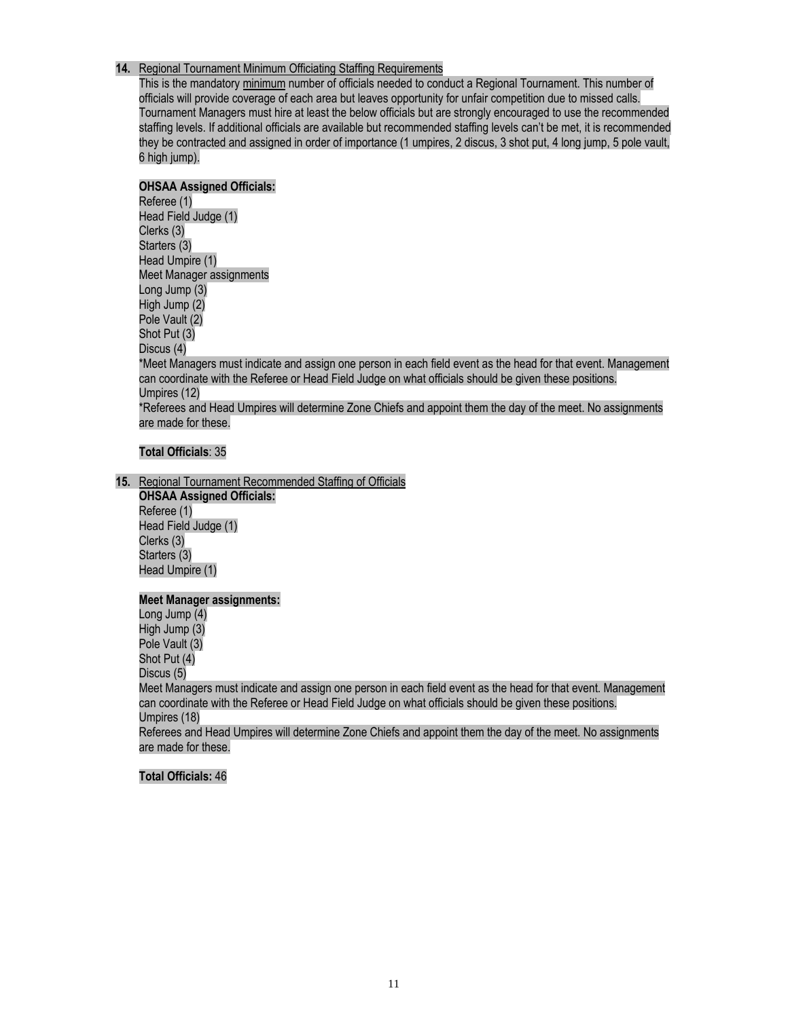#### **14.** Regional Tournament Minimum Officiating Staffing Requirements

This is the mandatory minimum number of officials needed to conduct a Regional Tournament. This number of officials will provide coverage of each area but leaves opportunity for unfair competition due to missed calls. Tournament Managers must hire at least the below officials but are strongly encouraged to use the recommended staffing levels. If additional officials are available but recommended staffing levels can't be met, it is recommended they be contracted and assigned in order of importance (1 umpires, 2 discus, 3 shot put, 4 long jump, 5 pole vault, 6 high jump).

## **OHSAA Assigned Officials:**

Referee (1) Head Field Judge (1) Clerks (3) Starters (3) Head Umpire (1) Meet Manager assignments Long Jump (3) High Jump (2) Pole Vault (2) Shot Put (3) Discus (4) \*Meet Managers must indicate and assign one person in each field event as the head for that event. Management can coordinate with the Referee or Head Field Judge on what officials should be given these positions. Umpires (12) \*Referees and Head Umpires will determine Zone Chiefs and appoint them the day of the meet. No assignments are made for these.

#### **Total Officials**: 35

**15.** Regional Tournament Recommended Staffing of Officials

**OHSAA Assigned Officials:** Referee (1) Head Field Judge (1) Clerks (3) Starters (3) Head Umpire (1)

#### **Meet Manager assignments:**

Long Jump (4) High Jump (3) Pole Vault (3) Shot Put (4) Discus (5) Meet Managers must indicate and assign one person in each field event as the head for that event. Management can coordinate with the Referee or Head Field Judge on what officials should be given these positions. Umpires (18) Referees and Head Umpires will determine Zone Chiefs and appoint them the day of the meet. No assignments are made for these.

#### **Total Officials:** 46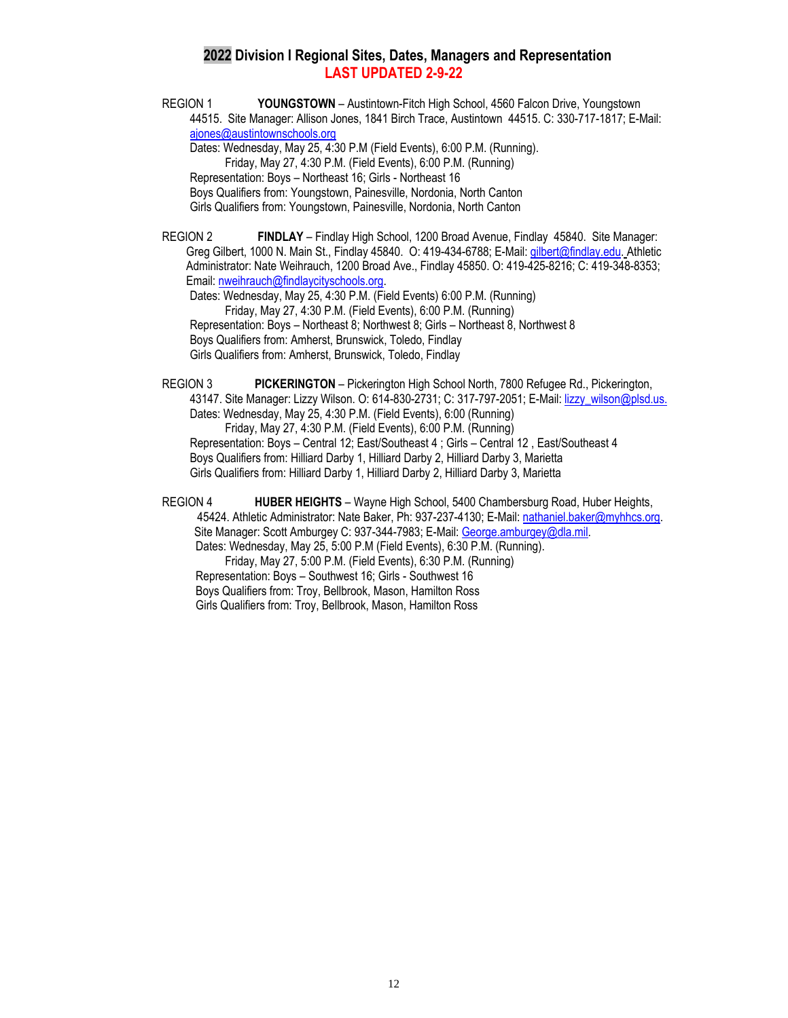## **2022 Division I Regional Sites, Dates, Managers and Representation LAST UPDATED 2-9-22**

REGION 1 **YOUNGSTOWN** – Austintown-Fitch High School, 4560 Falcon Drive, Youngstown 44515. Site Manager: Allison Jones, 1841 Birch Trace, Austintown 44515. C: 330-717-1817; E-Mail: [ajones@austintownschools.org](mailto:ajones@austintownschools.org) Dates: Wednesday, May 25, 4:30 P.M (Field Events), 6:00 P.M. (Running). Friday, May 27, 4:30 P.M. (Field Events), 6:00 P.M. (Running)

Representation: Boys – Northeast 16; Girls - Northeast 16 Boys Qualifiers from: Youngstown, Painesville, Nordonia, North Canton Girls Qualifiers from: Youngstown, Painesville, Nordonia, North Canton

REGION 2 **FINDLAY** – Findlay High School, 1200 Broad Avenue, Findlay 45840. Site Manager: Greg Gilbert, 1000 N. Main St., Findlay 45840. O: 419-434-6788; E-Mail[: gilbert@findlay.edu.](mailto:gilbert@findlay.edu) Athletic Administrator: Nate Weihrauch, 1200 Broad Ave., Findlay 45850. O: 419-425-8216; C: 419-348-8353; Email: [nweihrauch@findlaycityschools.org.](mailto:nweihrauch@findlaycityschools.org)

Dates: Wednesday, May 25, 4:30 P.M. (Field Events) 6:00 P.M. (Running) Friday, May 27, 4:30 P.M. (Field Events), 6:00 P.M. (Running) Representation: Boys – Northeast 8; Northwest 8; Girls – Northeast 8, Northwest 8 Boys Qualifiers from: Amherst, Brunswick, Toledo, Findlay Girls Qualifiers from: Amherst, Brunswick, Toledo, Findlay

REGION 3 **PICKERINGTON** – Pickerington High School North, 7800 Refugee Rd., Pickerington, 43147. Site Manager: Lizzy Wilson. O: 614-830-2731; C: 317-797-2051; E-Mail: [lizzy\\_wilson@plsd.us.](mailto:lizzy_wilson@plsd.us.) Dates: Wednesday, May 25, 4:30 P.M. (Field Events), 6:00 (Running) Friday, May 27, 4:30 P.M. (Field Events), 6:00 P.M. (Running) Representation: Boys – Central 12; East/Southeast 4 ; Girls – Central 12 , East/Southeast 4 Boys Qualifiers from: Hilliard Darby 1, Hilliard Darby 2, Hilliard Darby 3, Marietta Girls Qualifiers from: Hilliard Darby 1, Hilliard Darby 2, Hilliard Darby 3, Marietta

REGION 4 **HUBER HEIGHTS** – Wayne High School, 5400 Chambersburg Road, Huber Heights, 45424. Athletic Administrator: Nate Baker, Ph: 937-237-4130; E-Mail[: nathaniel.baker@myhhcs.org.](mailto:nathaniel.baker@myhhcs.org) Site Manager: Scott Amburgey C: 937-344-7983; E-Mail: [George.amburgey@dla.mil.](mailto:George.amburgey@dla.mil) Dates: Wednesday, May 25, 5:00 P.M (Field Events), 6:30 P.M. (Running).

 Friday, May 27, 5:00 P.M. (Field Events), 6:30 P.M. (Running) Representation: Boys – Southwest 16; Girls - Southwest 16 Boys Qualifiers from: Troy, Bellbrook, Mason, Hamilton Ross Girls Qualifiers from: Troy, Bellbrook, Mason, Hamilton Ross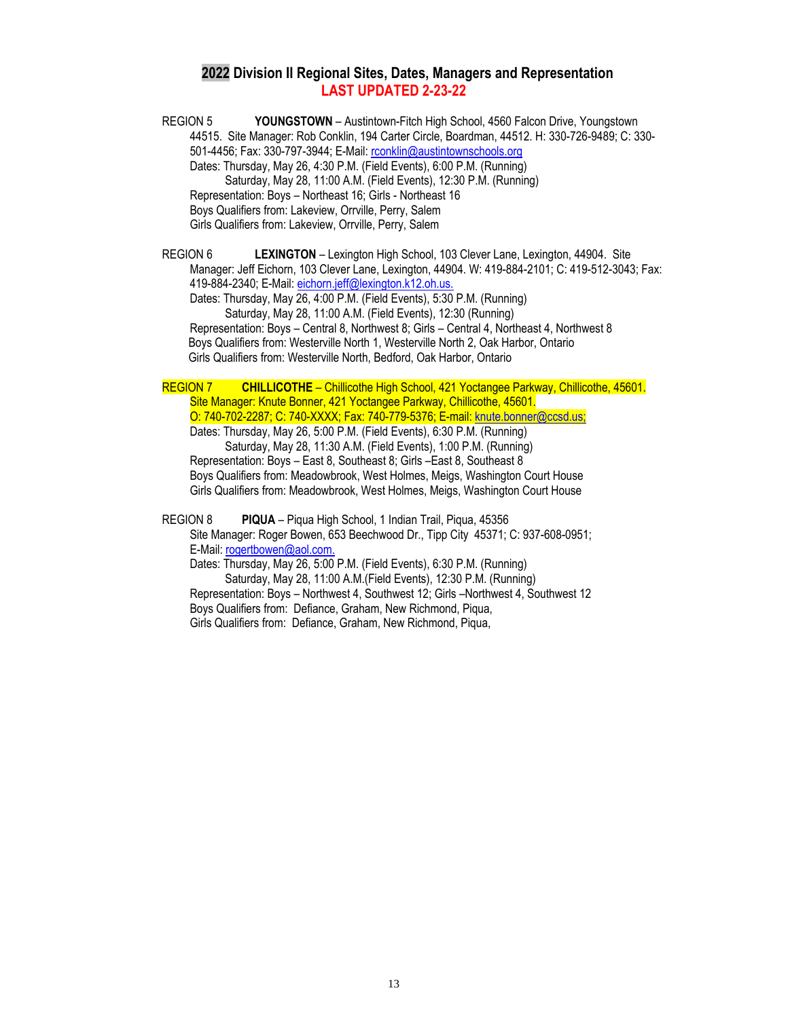## **2022 Division II Regional Sites, Dates, Managers and Representation LAST UPDATED 2-23-22**

REGION 5 **YOUNGSTOWN** – Austintown-Fitch High School, 4560 Falcon Drive, Youngstown 44515. Site Manager: Rob Conklin, 194 Carter Circle, Boardman, 44512. H: 330-726-9489; C: 330- 501-4456; Fax: 330-797-3944; E-Mail[: rconklin@austintownschools.org](mailto:rconklin@austintownschools.org) Dates: Thursday, May 26, 4:30 P.M. (Field Events), 6:00 P.M. (Running) Saturday, May 28, 11:00 A.M. (Field Events), 12:30 P.M. (Running) Representation: Boys – Northeast 16; Girls - Northeast 16 Boys Qualifiers from: Lakeview, Orrville, Perry, Salem Girls Qualifiers from: Lakeview, Orrville, Perry, Salem

REGION 6 **LEXINGTON** – Lexington High School, 103 Clever Lane, Lexington, 44904. Site Manager: Jeff Eichorn, 103 Clever Lane, Lexington, 44904. W: 419-884-2101; C: 419-512-3043; Fax: 419-884-2340; E-Mail: [eichorn.jeff@lexington.k12.oh.us.](mailto:eichorn.jeff@lexington.k12.oh.us.)

Dates: Thursday, May 26, 4:00 P.M. (Field Events), 5:30 P.M. (Running) Saturday, May 28, 11:00 A.M. (Field Events), 12:30 (Running) Representation: Boys – Central 8, Northwest 8; Girls – Central 4, Northeast 4, Northwest 8 Boys Qualifiers from: Westerville North 1, Westerville North 2, Oak Harbor, Ontario Girls Qualifiers from: Westerville North, Bedford, Oak Harbor, Ontario

REGION 7 **CHILLICOTHE** – Chillicothe High School, 421 Yoctangee Parkway, Chillicothe, 45601. Site Manager: Knute Bonner, 421 Yoctangee Parkway, Chillicothe, 45601. O: 740-702-2287; C: 740-XXXX; Fax: 740-779-5376; E-mail: [knute.bonner@ccsd.us;](mailto:knute.bonner@ccsd.us) Dates: Thursday, May 26, 5:00 P.M. (Field Events), 6:30 P.M. (Running) Saturday, May 28, 11:30 A.M. (Field Events), 1:00 P.M. (Running) Representation: Boys – East 8, Southeast 8; Girls –East 8, Southeast 8 Boys Qualifiers from: Meadowbrook, West Holmes, Meigs, Washington Court House Girls Qualifiers from: Meadowbrook, West Holmes, Meigs, Washington Court House

 REGION 8 **PIQUA** – Piqua High School, 1 Indian Trail, Piqua, 45356 Site Manager: Roger Bowen, 653 Beechwood Dr., Tipp City 45371; C: 937-608-0951; E-Mail: [rogertbowen@aol.com.](mailto:rogertbowen@aol.com.)  Dates: Thursday, May 26, 5:00 P.M. (Field Events), 6:30 P.M. (Running) Saturday, May 28, 11:00 A.M.(Field Events), 12:30 P.M. (Running) Representation: Boys – Northwest 4, Southwest 12; Girls –Northwest 4, Southwest 12 Boys Qualifiers from: Defiance, Graham, New Richmond, Piqua, Girls Qualifiers from: Defiance, Graham, New Richmond, Piqua,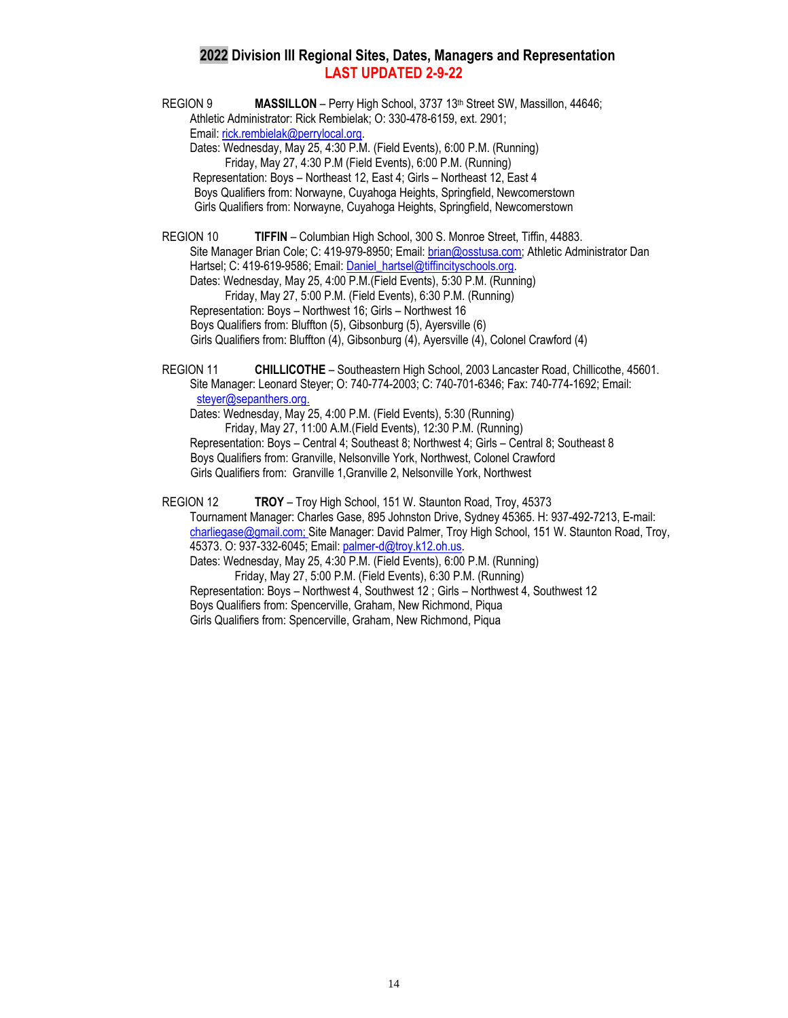## **2022 Division III Regional Sites, Dates, Managers and Representation LAST UPDATED 2-9-22**

REGION 9 **MASSILLON** – Perry High School, 3737 13<sup>th</sup> Street SW, Massillon, 44646; Athletic Administrator: Rick Rembielak; O: 330-478-6159, ext. 2901; Email[: rick.rembielak@perrylocal.org.](mailto:rick.rembielak@perrylocal.org)

Dates: Wednesday, May 25, 4:30 P.M. (Field Events), 6:00 P.M. (Running) Friday, May 27, 4:30 P.M (Field Events), 6:00 P.M. (Running) Representation: Boys – Northeast 12, East 4; Girls – Northeast 12, East 4 Boys Qualifiers from: Norwayne, Cuyahoga Heights, Springfield, Newcomerstown Girls Qualifiers from: Norwayne, Cuyahoga Heights, Springfield, Newcomerstown

REGION 10 **TIFFIN** – Columbian High School, 300 S. Monroe Street, Tiffin, 44883. Site Manager Brian Cole; C: 419-979-8950; Email[: brian@osstusa.com;](mailto:brian@osstusa.com) Athletic Administrator Dan Hartsel; C: 419-619-9586; Email: Daniel hartsel@tiffincityschools.org. Dates: Wednesday, May 25, 4:00 P.M.(Field Events), 5:30 P.M. (Running) Friday, May 27, 5:00 P.M. (Field Events), 6:30 P.M. (Running) Representation: Boys – Northwest 16; Girls – Northwest 16

Boys Qualifiers from: Bluffton (5), Gibsonburg (5), Ayersville (6)

Girls Qualifiers from: Bluffton (4), Gibsonburg (4), Ayersville (4), Colonel Crawford (4)

REGION 11 **CHILLICOTHE** – Southeastern High School, 2003 Lancaster Road, Chillicothe, 45601. Site Manager: Leonard Steyer; O: 740-774-2003; C: 740-701-6346; Fax: 740-774-1692; Email: steyer@sepanthers.org. Dates: Wednesday, May 25, 4:00 P.M. (Field Events), 5:30 (Running) Friday, May 27, 11:00 A.M.(Field Events), 12:30 P.M. (Running)

Representation: Boys – Central 4; Southeast 8; Northwest 4; Girls – Central 8; Southeast 8 Boys Qualifiers from: Granville, Nelsonville York, Northwest, Colonel Crawford Girls Qualifiers from: Granville 1,Granville 2, Nelsonville York, Northwest

REGION 12 **TROY** – Troy High School, 151 W. Staunton Road, Troy, 45373 Tournament Manager: Charles Gase, 895 Johnston Drive, Sydney 45365. H: 937-492-7213, E-mail: [charliegase@gmail.com;](mailto:charliegase@gmail.com) Site Manager: David Palmer, Troy High School, 151 W. Staunton Road, Troy, 45373. O: 937-332-6045; Email[: palmer-d@troy.k12.oh.us.](mailto:palmer-d@troy.k12.oh.us) Dates: Wednesday, May 25, 4:30 P.M. (Field Events), 6:00 P.M. (Running) Friday, May 27, 5:00 P.M. (Field Events), 6:30 P.M. (Running)

Representation: Boys – Northwest 4, Southwest 12 ; Girls – Northwest 4, Southwest 12 Boys Qualifiers from: Spencerville, Graham, New Richmond, Piqua Girls Qualifiers from: Spencerville, Graham, New Richmond, Piqua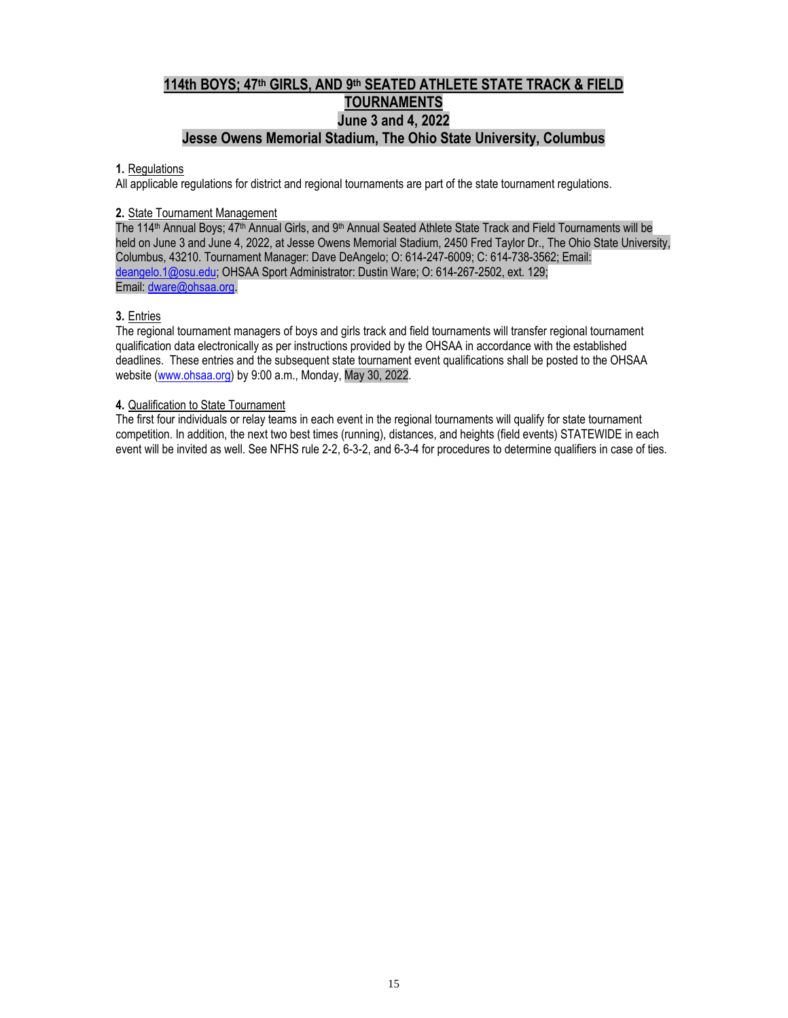# **114th BOYS; 47 th GIRLS, AND 9 th SEATED ATHLETE STATE TRACK & FIELD TOURNAMENTS June 3 and 4, 2022 Jesse Owens Memorial Stadium, The Ohio State University, Columbus**

#### **1.** Regulations

All applicable regulations for district and regional tournaments are part of the state tournament regulations.

#### **2.** State Tournament Management

The 114<sup>th</sup> Annual Boys; 47<sup>th</sup> Annual Girls, and 9<sup>th</sup> Annual Seated Athlete State Track and Field Tournaments will be held on June 3 and June 4, 2022, at Jesse Owens Memorial Stadium, 2450 Fred Taylor Dr., The Ohio State University, Columbus, 43210. Tournament Manager: Dave DeAngelo; O: 614-247-6009; C: 614-738-3562; Email: [deangelo.1@osu.edu;](mailto:deangelo.1@osu.edu) OHSAA Sport Administrator: Dustin Ware; O: 614-267-2502, ext. 129; Email: [dware@ohsaa.org.](mailto:dware@ohsaa.org)

## **3.** Entries

The regional tournament managers of boys and girls track and field tournaments will transfer regional tournament qualification data electronically as per instructions provided by the OHSAA in accordance with the established deadlines. These entries and the subsequent state tournament event qualifications shall be posted to the OHSAA website [\(www.ohsaa.org\)](http://www.ohsaa.org/) by 9:00 a.m., Monday, May 30, 2022.

#### **4.** Qualification to State Tournament

The first four individuals or relay teams in each event in the regional tournaments will qualify for state tournament competition. In addition, the next two best times (running), distances, and heights (field events) STATEWIDE in each event will be invited as well. See NFHS rule 2-2, 6-3-2, and 6-3-4 for procedures to determine qualifiers in case of ties.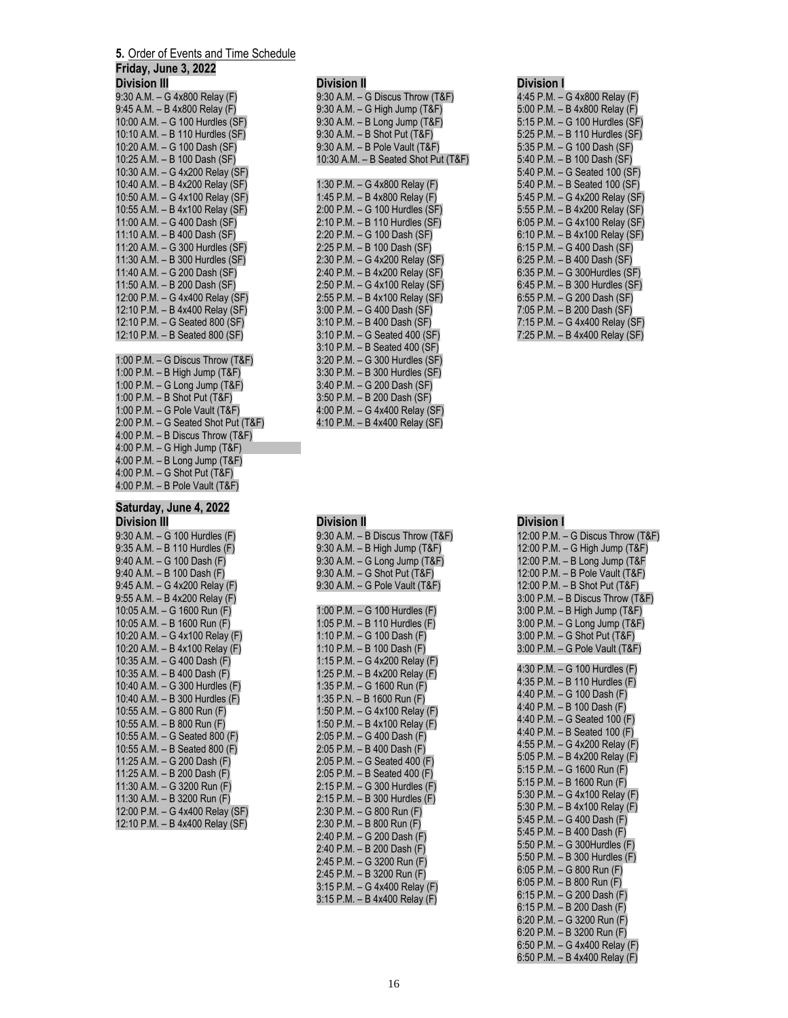# **5.** Order of Events and Time Schedule

| <b>J.</b> <u>Order of Events and Time Oct</u>                                                            |
|----------------------------------------------------------------------------------------------------------|
| Friday, June 3, 2022                                                                                     |
| <b>Division III</b>                                                                                      |
| 9:30 A.M. - G 4x800 Relay (F)                                                                            |
| 9:45 A.M. - B 4x800 Relay (F)                                                                            |
| 10:00 A.M. - G 100 Hurdles (SF)                                                                          |
| 10:10 A.M. - B 110 Hurdles (SF)                                                                          |
| 10:20 A.M. - G 100 Dash (SF)                                                                             |
| 10:25 A.M. - B 100 Dash (SF)                                                                             |
| 10:30 A.M. - G 4x200 Relay (SF)                                                                          |
| 10:40 A.M. - B 4x200 Relay (SF)                                                                          |
| 10:50 A.M. - G 4x100 Relay (SF)                                                                          |
| 10:55 A.M. - B 4x100 Relay (SF)                                                                          |
| 11:00 A.M. - G 400 Dash (SF)                                                                             |
| 11:10 A.M. - B 400 Dash (SF)                                                                             |
| 11:20 A.M. - G 300 Hurdles (SF)                                                                          |
| 11:30 A.M. - B 300 Hurdles (SF)                                                                          |
| 11:40 A.M. - G 200 Dash (SF)                                                                             |
| 11:50 A.M. - B 200 Dash (SF)<br>12:00 P.M. - G 4x400 Relay (SF)                                          |
|                                                                                                          |
| 12:10 P.M. - B 4x400 Relay (SF)<br>12:10 P.M. - B 4x400 Relay (SF)                                       |
| 12:10 P.M. - B Seated 800 (SF)                                                                           |
|                                                                                                          |
| 1:00 P.M. $-$ G Discus Throw (T&F)                                                                       |
| 1:00 P.M. - B High Jump (T&F)                                                                            |
| 1:00 P.M. - G Long Jump (T&F)                                                                            |
| 1:00 P.M. - B Shot Put (T&F)                                                                             |
| 1:00 P.M. - G Pole Vault (T&F)                                                                           |
|                                                                                                          |
|                                                                                                          |
| 2:00 P.M. – G Seated Shot Put (T&F)<br>4:00 P.M. – B Discus Throw (T&F)<br>4:00 P.M. – G High Jump (T&F) |
| 4:00 P.M. - B Long Jump (T&F)                                                                            |
| 4:00 P.M. - G Shot Put (T&F)                                                                             |
| 4:00 P.M. - B Pole Vault (T&F)                                                                           |
|                                                                                                          |

# **Saturday, June 4, 2022**

| Division III                    |
|---------------------------------|
| 9:30 A.M. - G 100 Hurdles (F)   |
| 9:35 A.M. - B 110 Hurdles (F)   |
| 9:40 A.M. - G 100 Dash (F)      |
| 9:40 A.M. - B 100 Dash (F)      |
| 9:45 A.M. - G 4x200 Relay (F)   |
| 9:55 A.M. - B 4x200 Relay (F)   |
| 10:05 A.M. - G 1600 Run (F)     |
| 10:05 A.M. - B 1600 Run (F)     |
| 10:20 A.M. - G 4x100 Relay (F)  |
| 10:20 A.M. - B 4x100 Relay (F)  |
| 10:35 A.M. - G 400 Dash (F)     |
| 10:35 A.M. - B 400 Dash (F)     |
| 10:40 A.M. - G 300 Hurdles (F)  |
| 10:40 A.M. - B 300 Hurdles (F)  |
| 10:55 A.M. - G 800 Run (F)      |
| 10:55 A.M. - B 800 Run (F)      |
| 10:55 A.M. - G Seated 800 (F)   |
| 10:55 A.M. - B Seated 800 (F)   |
| 11:25 A.M. - G 200 Dash (F)     |
| 11:25 A.M. - B 200 Dash (F)     |
| 11:30 A.M. - G 3200 Run (F)     |
| 11:30 A.M. - B 3200 Run (F)     |
| 12:00 P.M. - G 4x400 Relay (SF) |
| 12:10 P.M. - B 4x400 Relay (SF) |

#### **Division II** 9:30 A.M. – G Discus Throw (T&F) 9:30 A.M. – G High Jump (T&F) 9:30 A.M. – B Long Jump (T&F) 9:30 A.M. – B Shot Put (T&F) 9:30 A.M. – B Pole Vault (T&F) 10:30 A.M. – B Seated Shot Put (T&F) 1:30 P.M. – G 4x800 Relay (F) 1:45 P.M. – B 4x800 Relay (F) 2:00 P.M. – G 100 Hurdles (SF) 2:10 P.M. – B 110 Hurdles (SF) 2:20 P.M. – G 100 Dash (SF) 2:25 P.M. – B 100 Dash (SF) 2:30 P.M. – G 4x200 Relay (SF) 2:40 P.M. – B 4x200 Relay (SF) 2:50 P.M. – G 4x100 Relay (SF) 2:55 P.M. – B 4x100 Relay (SF) 3:00 P.M. – G 400 Dash (SF) 3:10 P.M. – B 400 Dash (SF) 3:10 P.M. – G Seated 400 (SF) 3:10 P.M. – B Seated 400 (SF) 3:20 P.M. – G 300 Hurdles (SF) 3:30 P.M. – B 300 Hurdles (SF) 3:40 P.M. – G 200 Dash (SF) 3:50 P.M. – B 200 Dash (SF) 4:00 P.M. – G 4x400 Relay (SF) 4:10 P.M. – B 4x400 Relay (SF)

| <b>Division II</b>               |
|----------------------------------|
| 9:30 A.M. - B Discus Throw (T&F) |
| 9:30 A.M. - B High Jump (T&F)    |
| 9:30 A.M. - G Long Jump (T&F)    |
| 9:30 A.M. - G Shot Put (T&F)     |
| 9:30 A.M. - G Pole Vault (T&F)   |
|                                  |
| 1:00 P.M. - G 100 Hurdles (F)    |
| 1:05 P.M. - B 110 Hurdles (F)    |
| 1:10 P.M. - G 100 Dash (F)       |
| 1:10 P.M. - B 100 Dash (F)       |
| 1:15 P.M. - G 4x200 Relay (F)    |
| 1:25 P.M. - B 4x200 Relay (F)    |
| 1:35 P.M. - G 1600 Run (F)       |
| 1:35 P.N. - B 1600 Run (F)       |
| 1:50 P.M. - G 4x100 Relay (F)    |
| 1:50 P.M. - B 4x100 Relay (F)    |
| 2:05 P.M. - G 400 Dash (F)       |
| 2:05 P.M. - B 400 Dash (F)       |
| 2:05 P.M. - G Seated 400 (F)     |
| 2:05 P.M. - B Seated 400 (F)     |
| 2:15 P.M. - G 300 Hurdles (F)    |
| 2:15 P.M. - B 300 Hurdles (F)    |
| 2:30 P.M. - G 800 Run (F)        |
| 2:30 P.M. - B 800 Run (F)        |
| 2:40 P.M. - G 200 Dash (F)       |
| 2:40 P.M. - B 200 Dash (F)       |
| 2:45 P.M. - G 3200 Run (F)       |
| 2:45 P.M. - B 3200 Run (F)       |
| 3:15 P.M. - G 4x400 Relay (F)    |
| 3:15 P.M. - B 4x400 Relay (F)    |

# **Division I**

| ווטוטוע                        |
|--------------------------------|
| 4:45 P.M. - G 4x800 Relay (F)  |
| 5:00 P.M. - B 4x800 Relay (F)  |
| 5:15 P.M. - G 100 Hurdles (SF) |
| 5:25 P.M. - B 110 Hurdles (SF) |
| 5:35 P.M. - G 100 Dash (SF)    |
| 5:40 P.M. - B 100 Dash (SF)    |
| 5:40 P.M. - G Seated 100 (SF)  |
| 5:40 P.M. - B Seated 100 (SF)  |
| 5:45 P.M. - G 4x200 Relay (SF) |
| 5:55 P.M. - B 4x200 Relay (SF) |
| 6:05 P.M. - G 4x100 Relay (SF) |
| 6:10 P.M. - B 4x100 Relay (SF) |
| 6:15 P.M. - G 400 Dash (SF)    |
| 6:25 P.M. - B 400 Dash (SF)    |
| 6:35 P.M. - G 300Hurdles (SF)  |
| 6:45 P.M. - B 300 Hurdles (SF) |
| 6:55 P.M. - G 200 Dash (SF)    |
| 7:05 P.M. - B 200 Dash (SF)    |
| 7:15 P.M. - G 4x400 Relay (SF) |
| 7:25 P.M. - B 4x400 Relay (SF) |

#### **Division I**

| 12:00 P.M. – G Discus Throw (T&F)<br>12:00 P.M. - G High Jump (T&F)<br>12:00 P.M. - B Long Jump (T&F<br>12:00 P.M. - B Pole Vault (T&F)<br>12:00 P.M. - B Shot Put (T&F)<br>3:00 P.M. - B Discus Throw (T&F)<br>3:00 P.M. - B High Jump (T&F)<br>3:00 P.M. - G Long Jump (T&F)                                                                                                                                                                                                                                                                                                                                                                                                                                |
|---------------------------------------------------------------------------------------------------------------------------------------------------------------------------------------------------------------------------------------------------------------------------------------------------------------------------------------------------------------------------------------------------------------------------------------------------------------------------------------------------------------------------------------------------------------------------------------------------------------------------------------------------------------------------------------------------------------|
| 3:00 P.M. - G Shot Put (T&F)<br>3:00 P.M. - G Pole Vault (T&F)                                                                                                                                                                                                                                                                                                                                                                                                                                                                                                                                                                                                                                                |
| 4:30 P.M. - G 100 Hurdles (F)<br>4:35 P.M. - B 110 Hurdles (F)<br>4:40 P.M. - G 100 Dash (F)<br>4:40 P.M. - B 100 Dash (F)<br>4:40 P.M. - G Seated 100 (F)<br>4:40 P.M. - B Seated 100 (F)<br>4:55 P.M. - G 4x200 Relay (F)<br>5:05 P.M. - B 4x200 Relay $(F)$<br>5:15 P.M. - G 1600 Run (F)<br>5:15 P.M. - B 1600 Run (F)<br>5:30 P.M. - G 4x100 Relay (F)<br>5:30 P.M. - B 4x100 Relay (F)<br>5:45 P.M. - G 400 Dash (F)<br>5:45 P.M. - B 400 Dash (F)<br>5:50 P.M. - G 300Hurdles (F)<br>5:50 P.M. - B 300 Hurdles (F)<br>6:05 P.M. - G 800 Run (F)<br>6:05 P.M. - B 800 Run (F)<br>6:15 P.M. - G 200 Dash (F)<br>6:15 P.M. - B 200 Dash $(F)$<br>6:20 P.M. - G 3200 Run (F)<br>6:20 P.M. - B 3200 Run (F) |
| 6:50 P.M. - G 4x400 Relay (F)<br>6:50 P.M. - B 4x400 Relay (F)                                                                                                                                                                                                                                                                                                                                                                                                                                                                                                                                                                                                                                                |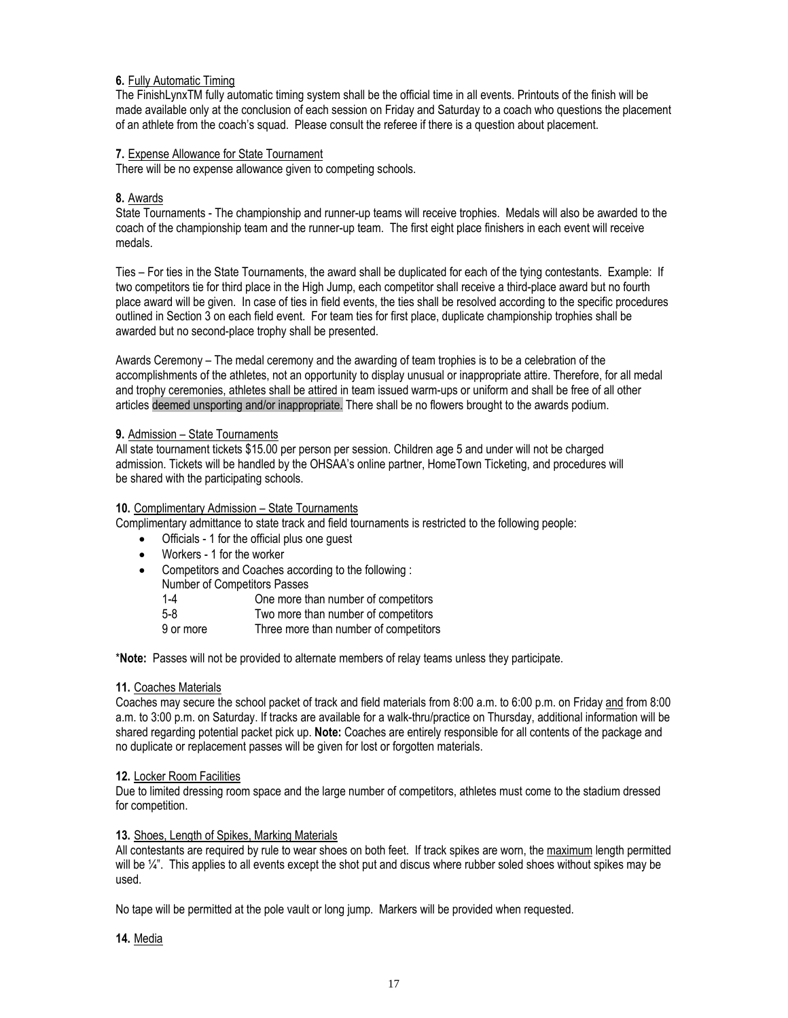#### **6.** Fully Automatic Timing

The FinishLynxTM fully automatic timing system shall be the official time in all events. Printouts of the finish will be made available only at the conclusion of each session on Friday and Saturday to a coach who questions the placement of an athlete from the coach's squad. Please consult the referee if there is a question about placement.

#### **7.** Expense Allowance for State Tournament

There will be no expense allowance given to competing schools.

#### **8.** Awards

State Tournaments - The championship and runner-up teams will receive trophies. Medals will also be awarded to the coach of the championship team and the runner-up team. The first eight place finishers in each event will receive medals.

Ties – For ties in the State Tournaments, the award shall be duplicated for each of the tying contestants. Example: If two competitors tie for third place in the High Jump, each competitor shall receive a third-place award but no fourth place award will be given. In case of ties in field events, the ties shall be resolved according to the specific procedures outlined in Section 3 on each field event. For team ties for first place, duplicate championship trophies shall be awarded but no second-place trophy shall be presented.

Awards Ceremony – The medal ceremony and the awarding of team trophies is to be a celebration of the accomplishments of the athletes, not an opportunity to display unusual or inappropriate attire. Therefore, for all medal and trophy ceremonies, athletes shall be attired in team issued warm-ups or uniform and shall be free of all other articles deemed unsporting and/or inappropriate. There shall be no flowers brought to the awards podium.

#### **9.** Admission – State Tournaments

All state tournament tickets \$15.00 per person per session. Children age 5 and under will not be charged admission. Tickets will be handled by the OHSAA's online partner, HomeTown Ticketing, and procedures will be shared with the participating schools.

#### **10.** Complimentary Admission – State Tournaments

Complimentary admittance to state track and field tournaments is restricted to the following people:

- Officials 1 for the official plus one guest
- Workers 1 for the worker
- Competitors and Coaches according to the following :
	- Number of Competitors Passes<br>1-4 One more th

One more than number of competitors

- 5-8 Two more than number of competitors<br>9 or more Three more than number of competitor
- Three more than number of competitors

\***Note:** Passes will not be provided to alternate members of relay teams unless they participate.

#### **11.** Coaches Materials

Coaches may secure the school packet of track and field materials from 8:00 a.m. to 6:00 p.m. on Friday and from 8:00 a.m. to 3:00 p.m. on Saturday. If tracks are available for a walk-thru/practice on Thursday, additional information will be shared regarding potential packet pick up. **Note:** Coaches are entirely responsible for all contents of the package and no duplicate or replacement passes will be given for lost or forgotten materials.

#### **12.** Locker Room Facilities

Due to limited dressing room space and the large number of competitors, athletes must come to the stadium dressed for competition.

#### **13.** Shoes, Length of Spikes, Marking Materials

All contestants are required by rule to wear shoes on both feet. If track spikes are worn, the maximum length permitted will be  $\mathcal{U}^*$ . This applies to all events except the shot put and discus where rubber soled shoes without spikes may be used.

No tape will be permitted at the pole vault or long jump. Markers will be provided when requested.

**14.** Media